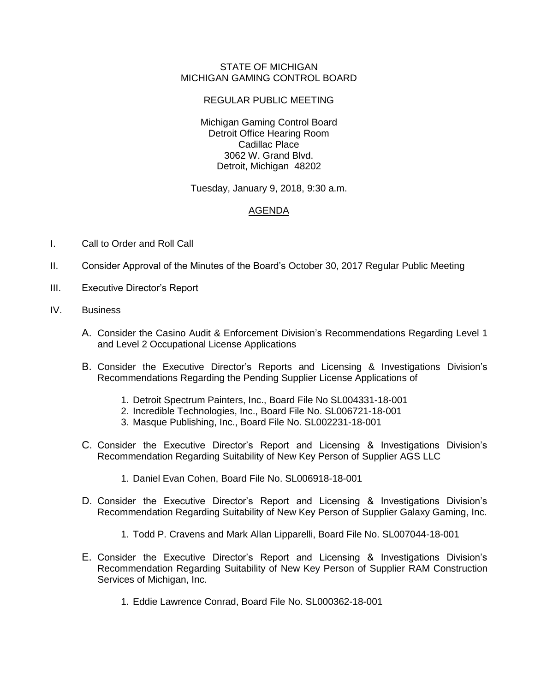## STATE OF MICHIGAN MICHIGAN GAMING CONTROL BOARD

## REGULAR PUBLIC MEETING

Michigan Gaming Control Board Detroit Office Hearing Room Cadillac Place 3062 W. Grand Blvd. Detroit, Michigan 48202

Tuesday, January 9, 2018, 9:30 a.m.

## AGENDA

- I. Call to Order and Roll Call
- II. Consider Approval of the Minutes of the Board's October 30, 2017 Regular Public Meeting
- III. Executive Director's Report
- IV. Business
	- A. Consider the Casino Audit & Enforcement Division's Recommendations Regarding Level 1 and Level 2 Occupational License Applications
	- B. Consider the Executive Director's Reports and Licensing & Investigations Division's Recommendations Regarding the Pending Supplier License Applications of
		- 1. Detroit Spectrum Painters, Inc., Board File No SL004331-18-001
		- 2. Incredible Technologies, Inc., Board File No. SL006721-18-001
		- 3. Masque Publishing, Inc., Board File No. SL002231-18-001
	- C. Consider the Executive Director's Report and Licensing & Investigations Division's Recommendation Regarding Suitability of New Key Person of Supplier AGS LLC
		- 1. Daniel Evan Cohen, Board File No. SL006918-18-001
	- D. Consider the Executive Director's Report and Licensing & Investigations Division's Recommendation Regarding Suitability of New Key Person of Supplier Galaxy Gaming, Inc.
		- 1. Todd P. Cravens and Mark Allan Lipparelli, Board File No. SL007044-18-001
	- E. Consider the Executive Director's Report and Licensing & Investigations Division's Recommendation Regarding Suitability of New Key Person of Supplier RAM Construction Services of Michigan, Inc.
		- 1. Eddie Lawrence Conrad, Board File No. SL000362-18-001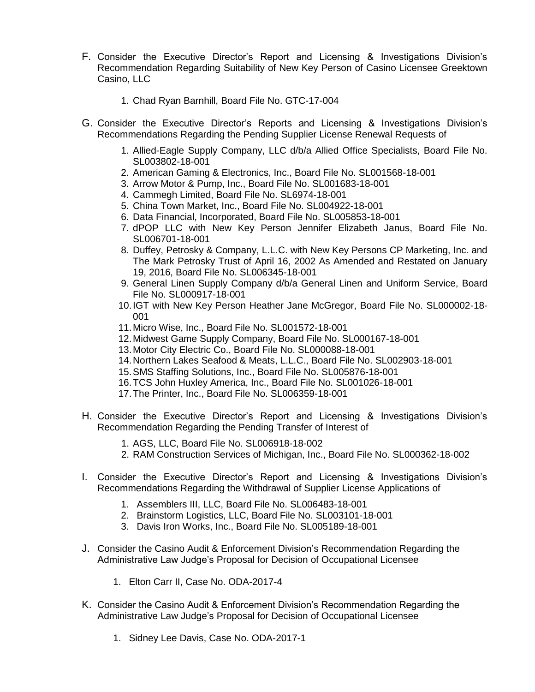- F. Consider the Executive Director's Report and Licensing & Investigations Division's Recommendation Regarding Suitability of New Key Person of Casino Licensee Greektown Casino, LLC
	- 1. Chad Ryan Barnhill, Board File No. GTC-17-004
- G. Consider the Executive Director's Reports and Licensing & Investigations Division's Recommendations Regarding the Pending Supplier License Renewal Requests of
	- 1. Allied-Eagle Supply Company, LLC d/b/a Allied Office Specialists, Board File No. SL003802-18-001
	- 2. American Gaming & Electronics, Inc., Board File No. SL001568-18-001
	- 3. Arrow Motor & Pump, Inc., Board File No. SL001683-18-001
	- 4. Cammegh Limited, Board File No. SL6974-18-001
	- 5. China Town Market, Inc., Board File No. SL004922-18-001
	- 6. Data Financial, Incorporated, Board File No. SL005853-18-001
	- 7. dPOP LLC with New Key Person Jennifer Elizabeth Janus, Board File No. SL006701-18-001
	- 8. Duffey, Petrosky & Company, L.L.C. with New Key Persons CP Marketing, Inc. and The Mark Petrosky Trust of April 16, 2002 As Amended and Restated on January 19, 2016, Board File No. SL006345-18-001
	- 9. General Linen Supply Company d/b/a General Linen and Uniform Service, Board File No. SL000917-18-001
	- 10.IGT with New Key Person Heather Jane McGregor, Board File No. SL000002-18- 001
	- 11.Micro Wise, Inc., Board File No. SL001572-18-001
	- 12.Midwest Game Supply Company, Board File No. SL000167-18-001
	- 13.Motor City Electric Co., Board File No. SL000088-18-001
	- 14.Northern Lakes Seafood & Meats, L.L.C., Board File No. SL002903-18-001
	- 15.SMS Staffing Solutions, Inc., Board File No. SL005876-18-001
	- 16.TCS John Huxley America, Inc., Board File No. SL001026-18-001
	- 17.The Printer, Inc., Board File No. SL006359-18-001
- H. Consider the Executive Director's Report and Licensing & Investigations Division's Recommendation Regarding the Pending Transfer of Interest of
	- 1. AGS, LLC, Board File No. SL006918-18-002
	- 2. RAM Construction Services of Michigan, Inc., Board File No. SL000362-18-002
- I. Consider the Executive Director's Report and Licensing & Investigations Division's Recommendations Regarding the Withdrawal of Supplier License Applications of
	- 1. Assemblers III, LLC, Board File No. SL006483-18-001
	- 2. Brainstorm Logistics, LLC, Board File No. SL003101-18-001
	- 3. Davis Iron Works, Inc., Board File No. SL005189-18-001
- J. Consider the Casino Audit & Enforcement Division's Recommendation Regarding the Administrative Law Judge's Proposal for Decision of Occupational Licensee
	- 1. Elton Carr II, Case No. ODA-2017-4
- K. Consider the Casino Audit & Enforcement Division's Recommendation Regarding the Administrative Law Judge's Proposal for Decision of Occupational Licensee
	- 1. Sidney Lee Davis, Case No. ODA-2017-1